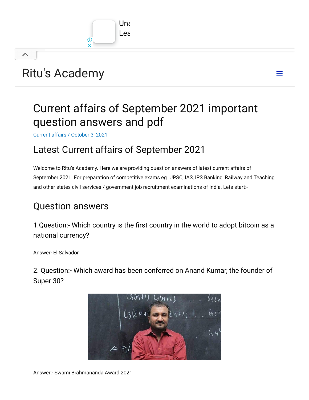

# Ritu's [Academy](https://ritusacademy.com/)

 $\curvearrowright$ 

## Current affairs of September 2021 important question answers and pdf

 $\equiv$ 

[Current](https://ritusacademy.com/category/current-affairs/) affairs / October 3, 2021

## Latest Current affairs of September 2021

Welcome to Ritu's Academy. Here we are providing question answers of latest current affairs of September 2021. For preparation of competitive exams eg. UPSC, IAS, IPS Banking, Railway and Teaching and other states civil services / government job recruitment examinations of India. Lets start:-

### Question answers

1.Question:- Which country is the first country in the world to adopt bitcoin as a national currency?

Answer- El Salvador

2. Question:- Which award has been conferred on Anand Kumar, the founder of Super 30?

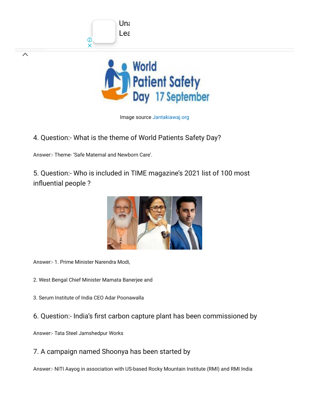

Image source [Jantakiawaj.org](http://jantakiawaj.org/)

4. Question:- What is the theme of World Patients Safety Day?

 $Uni$ Lea

Answer:- Theme- 'Safe Maternal and Newborn Care'.

 $\overline{\phantom{a}}$ 

5. Question:- Who is included in TIME magazine's 2021 list of 100 most influential people ?



Answer:- 1. Prime Minister Narendra Modi,

2. West Bengal Chief Minister Mamata Banerjee and

- 3. Serum Institute of India CEO Adar Poonawalla
- 6. Question:- India's first carbon capture plant has been commissioned by

Answer:- Tata Steel Jamshedpur Works

7. A campaign named Shoonya has been started by

Answer:- NITI Aayog in association with US-based Rocky Mountain Institute (RMI) and RMI India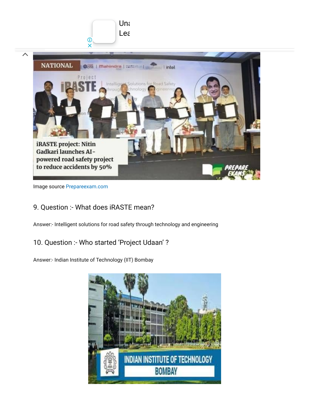

Image source [Prepareexam.com](http://prepareexam.com/)

#### 9. Question :- What does iRASTE mean?

Answer:- Intelligent solutions for road safety through technology and engineering

#### 10. Question :- Who started 'Project Udaan' ?

Answer:- Indian Institute of Technology (IIT) Bombay

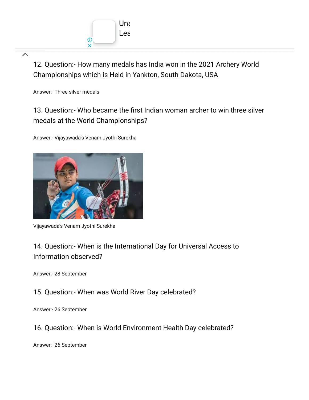

ᄉ

12. Question:- How many medals has India won in the 2021 Archery World Championships which is Held in Yankton, South Dakota, USA

Answer:- Three silver medals

13. Question:- Who became the first Indian woman archer to win three silver medals at the World Championships?

Answer:- Vijayawada's Venam Jyothi Surekha



Vijayawada's Venam Jyothi Surekha

### 14. Question:- When is the International Day for Universal Access to Information observed?

Answer:- 28 September

15. Question:- When was World River Day celebrated?

Answer:- 26 September

16. Question:- When is World Environment Health Day celebrated?

Answer:- 26 September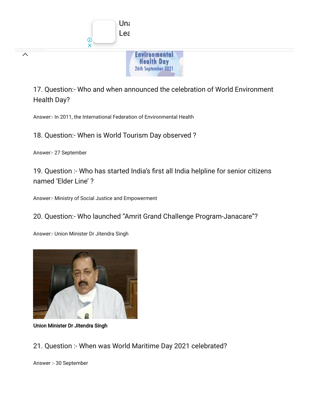

17. Question:- Who and when announced the celebration of World Environment Health Day?

Answer:- In 2011, the International Federation of Environmental Health

18. Question:- When is World Tourism Day observed ?

Answer:- 27 September

19. Question :- Who has started India's first all India helpline for senior citizens named 'Elder Line' ?

Answer:- Ministry of Social Justice and Empowerment

#### 20. Question:- Who launched "Amrit Grand Challenge Program-Janacare"?

Answer:- Union Minister Dr Jitendra Singh



Union Minister Dr Jitendra Singh

21. Question :- When was World Maritime Day 2021 celebrated?

Answer :- 30 September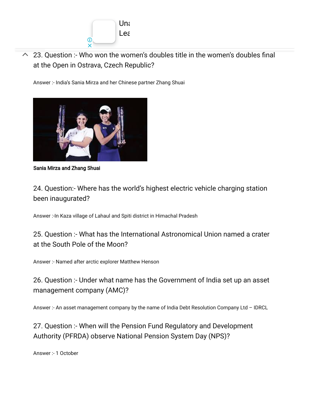

 $\sim$  23. Question :- Who won the women's doubles title in the women's doubles final at the Open in Ostrava, Czech Republic?

Answer :- India's Sania Mirza and her Chinese partner Zhang Shuai



Sania Mirza and Zhang Shuai

24. Question:- Where has the world's highest electric vehicle charging station been inaugurated?

Answer :-In Kaza village of Lahaul and Spiti district in Himachal Pradesh

25. Question :- What has the International Astronomical Union named a crater at the South Pole of the Moon?

Answer :- Named after arctic explorer Matthew Henson

26. Question :- Under what name has the Government of India set up an asset management company (AMC)?

Answer :- An asset management company by the name of India Debt Resolution Company Ltd – IDRCL

27. Question :- When will the Pension Fund Regulatory and Development Authority (PFRDA) observe National Pension System Day (NPS)?

Answer :- 1 October